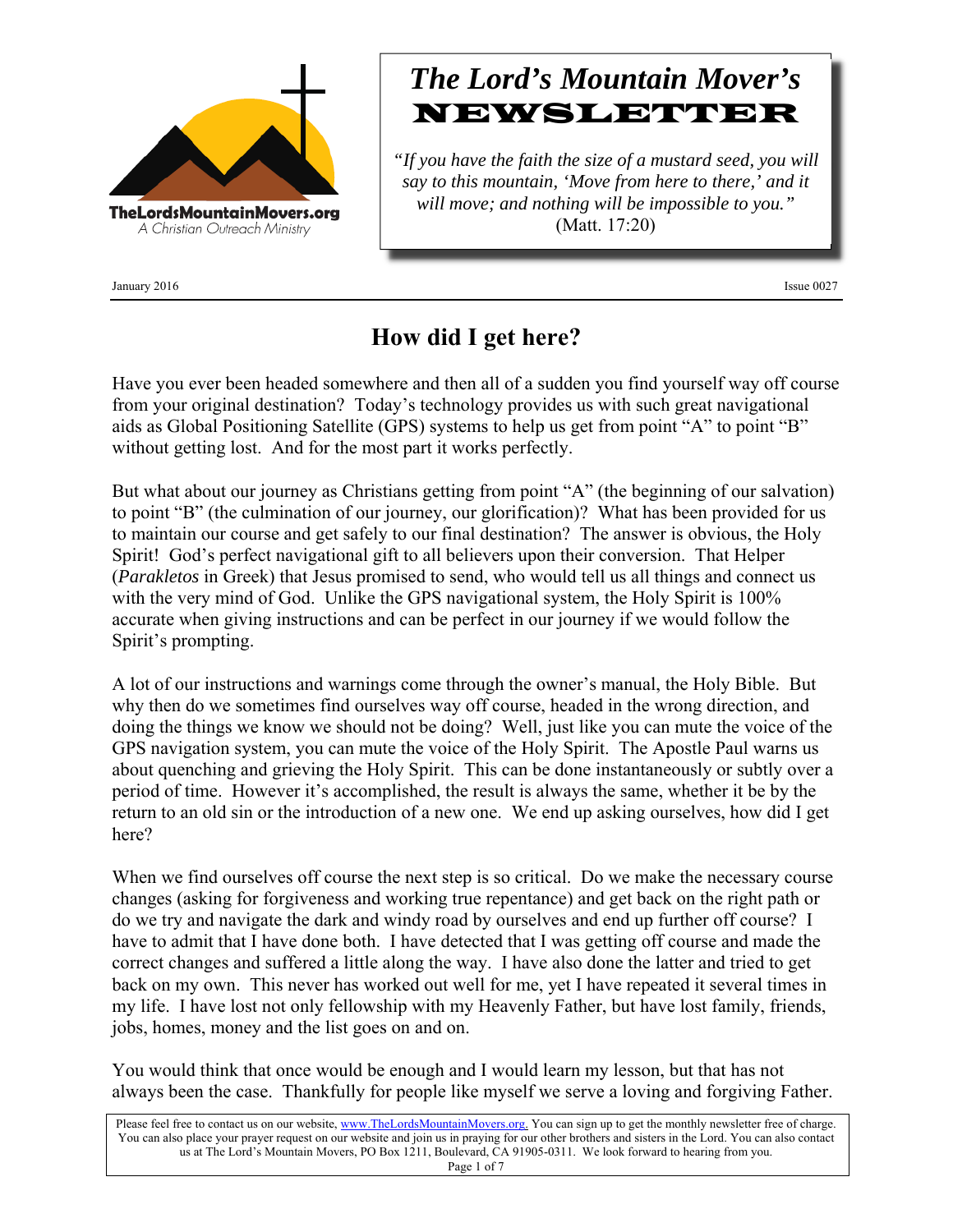

January 2016 Issue 0027

# *The Lord's Mountain Mover's* NEWSLETTER

*"If you have the faith the size of a mustard seed, you will say to this mountain, 'Move from here to there,' and it will move; and nothing will be impossible to you."* (Matt. 17:20)

### **How did I get here?**

Have you ever been headed somewhere and then all of a sudden you find yourself way off course from your original destination? Today's technology provides us with such great navigational aids as Global Positioning Satellite (GPS) systems to help us get from point "A" to point "B" without getting lost. And for the most part it works perfectly.

But what about our journey as Christians getting from point "A" (the beginning of our salvation) to point "B" (the culmination of our journey, our glorification)? What has been provided for us to maintain our course and get safely to our final destination? The answer is obvious, the Holy Spirit! God's perfect navigational gift to all believers upon their conversion. That Helper (*Parakletos* in Greek) that Jesus promised to send, who would tell us all things and connect us with the very mind of God. Unlike the GPS navigational system, the Holy Spirit is 100% accurate when giving instructions and can be perfect in our journey if we would follow the Spirit's prompting.

A lot of our instructions and warnings come through the owner's manual, the Holy Bible. But why then do we sometimes find ourselves way off course, headed in the wrong direction, and doing the things we know we should not be doing? Well, just like you can mute the voice of the GPS navigation system, you can mute the voice of the Holy Spirit. The Apostle Paul warns us about quenching and grieving the Holy Spirit. This can be done instantaneously or subtly over a period of time. However it's accomplished, the result is always the same, whether it be by the return to an old sin or the introduction of a new one. We end up asking ourselves, how did I get here?

When we find ourselves off course the next step is so critical. Do we make the necessary course changes (asking for forgiveness and working true repentance) and get back on the right path or do we try and navigate the dark and windy road by ourselves and end up further off course? I have to admit that I have done both. I have detected that I was getting off course and made the correct changes and suffered a little along the way. I have also done the latter and tried to get back on my own. This never has worked out well for me, yet I have repeated it several times in my life. I have lost not only fellowship with my Heavenly Father, but have lost family, friends, jobs, homes, money and the list goes on and on.

You would think that once would be enough and I would learn my lesson, but that has not always been the case. Thankfully for people like myself we serve a loving and forgiving Father.

Please feel free to contact us on our website, www.TheLordsMountainMovers.org. You can sign up to get the monthly newsletter free of charge. You can also place your prayer request on our website and join us in praying for our other brothers and sisters in the Lord. You can also contact us at The Lord's Mountain Movers, PO Box 1211, Boulevard, CA 91905-0311. We look forward to hearing from you. Page 1 of 7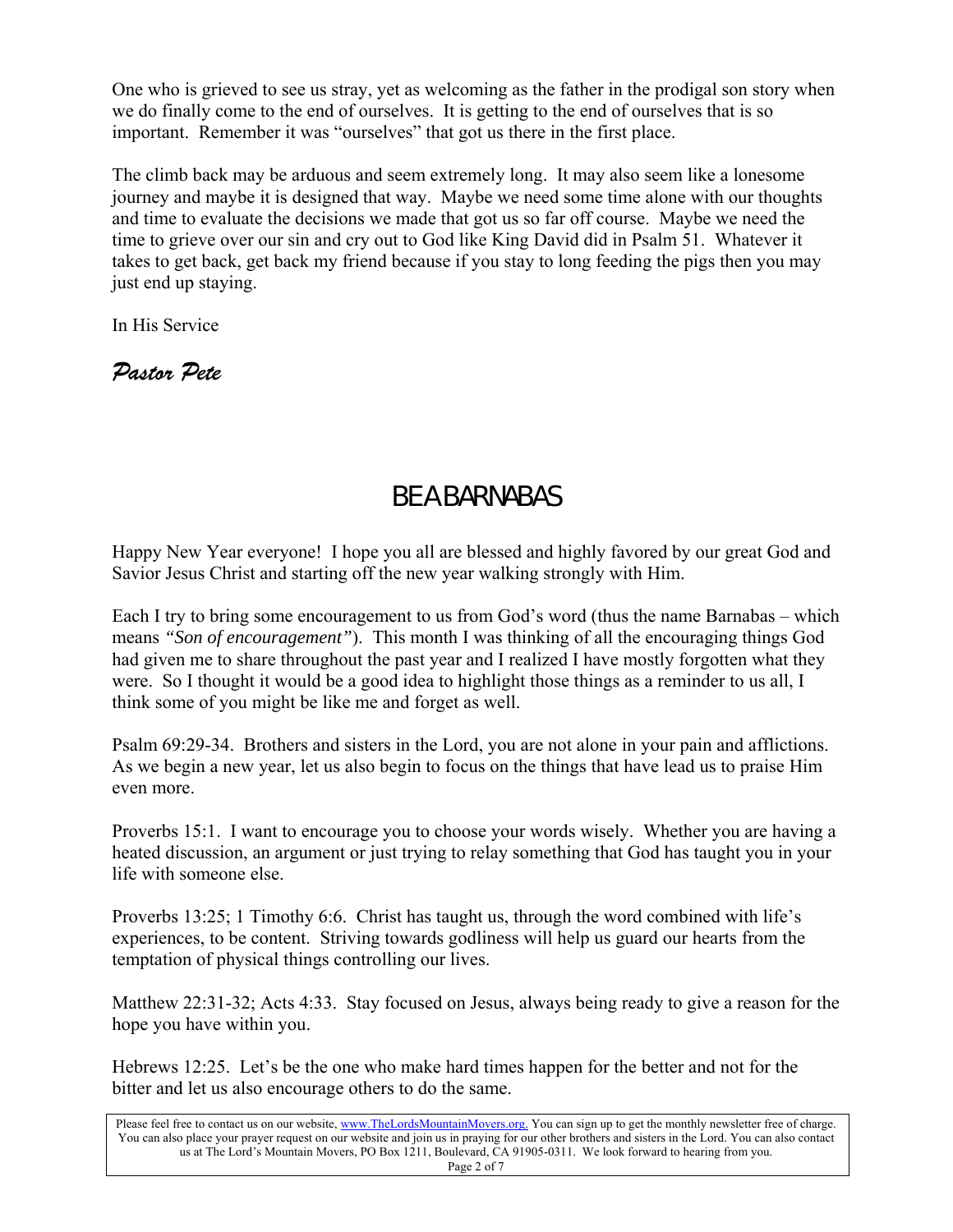One who is grieved to see us stray, yet as welcoming as the father in the prodigal son story when we do finally come to the end of ourselves. It is getting to the end of ourselves that is so important. Remember it was "ourselves" that got us there in the first place.

The climb back may be arduous and seem extremely long. It may also seem like a lonesome journey and maybe it is designed that way. Maybe we need some time alone with our thoughts and time to evaluate the decisions we made that got us so far off course. Maybe we need the time to grieve over our sin and cry out to God like King David did in Psalm 51. Whatever it takes to get back, get back my friend because if you stay to long feeding the pigs then you may just end up staying.

In His Service

*Pastor Pete* 

## BE A BARNABAS

Happy New Year everyone! I hope you all are blessed and highly favored by our great God and Savior Jesus Christ and starting off the new year walking strongly with Him.

Each I try to bring some encouragement to us from God's word (thus the name Barnabas – which means *"Son of encouragement"*). This month I was thinking of all the encouraging things God had given me to share throughout the past year and I realized I have mostly forgotten what they were. So I thought it would be a good idea to highlight those things as a reminder to us all, I think some of you might be like me and forget as well.

Psalm 69:29-34. Brothers and sisters in the Lord, you are not alone in your pain and afflictions. As we begin a new year, let us also begin to focus on the things that have lead us to praise Him even more.

Proverbs 15:1. I want to encourage you to choose your words wisely. Whether you are having a heated discussion, an argument or just trying to relay something that God has taught you in your life with someone else.

Proverbs 13:25; 1 Timothy 6:6. Christ has taught us, through the word combined with life's experiences, to be content. Striving towards godliness will help us guard our hearts from the temptation of physical things controlling our lives.

Matthew 22:31-32; Acts 4:33. Stay focused on Jesus, always being ready to give a reason for the hope you have within you.

Hebrews 12:25. Let's be the one who make hard times happen for the better and not for the bitter and let us also encourage others to do the same.

Please feel free to contact us on our website, www.TheLordsMountainMovers.org. You can sign up to get the monthly newsletter free of charge. You can also place your prayer request on our website and join us in praying for our other brothers and sisters in the Lord. You can also contact us at The Lord's Mountain Movers, PO Box 1211, Boulevard, CA 91905-0311. We look forward to hearing from you. Page 2 of 7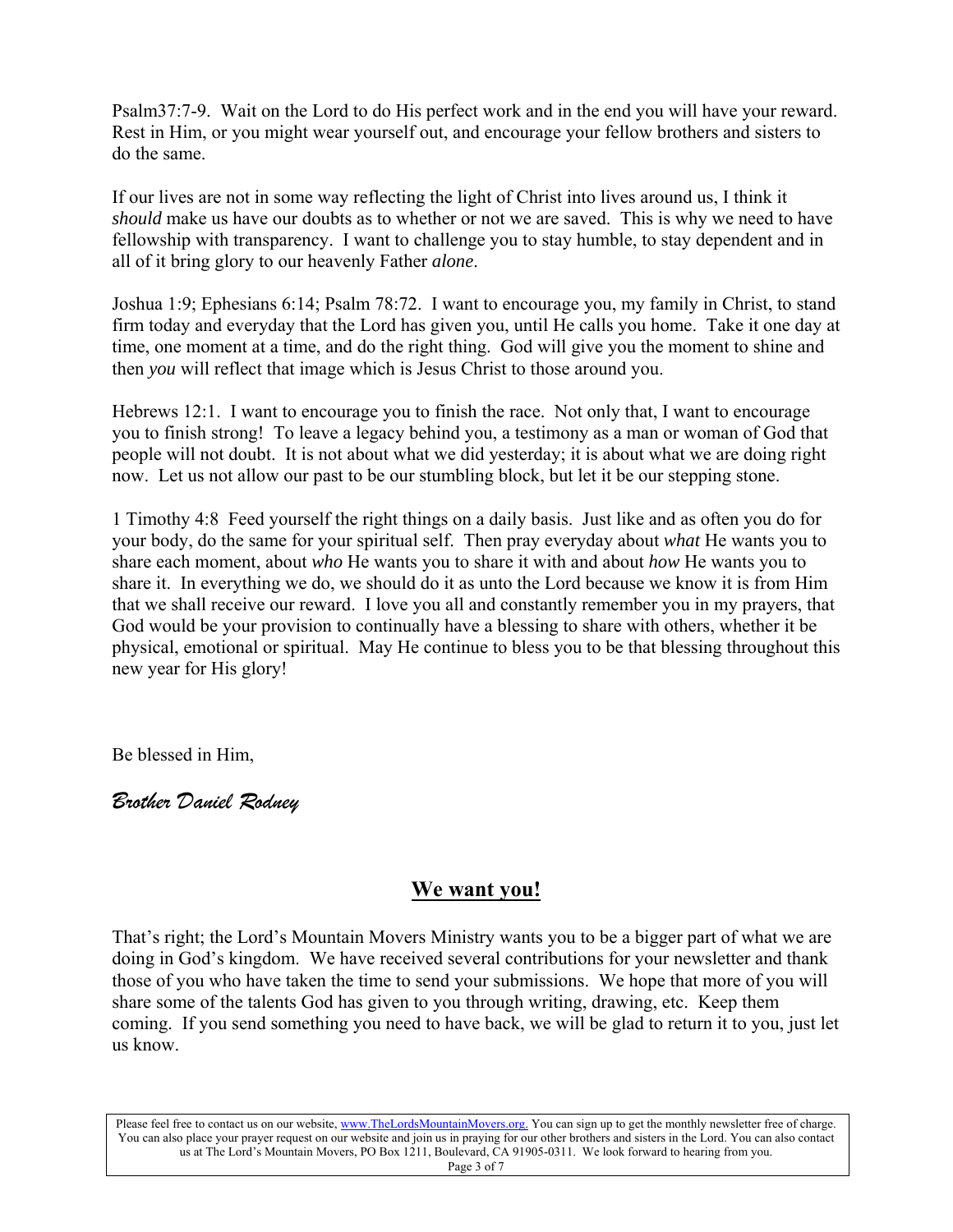Psalm37:7-9. Wait on the Lord to do His perfect work and in the end you will have your reward. Rest in Him, or you might wear yourself out, and encourage your fellow brothers and sisters to do the same.

If our lives are not in some way reflecting the light of Christ into lives around us, I think it *should* make us have our doubts as to whether or not we are saved. This is why we need to have fellowship with transparency. I want to challenge you to stay humble, to stay dependent and in all of it bring glory to our heavenly Father *alone*.

Joshua 1:9; Ephesians 6:14; Psalm 78:72. I want to encourage you, my family in Christ, to stand firm today and everyday that the Lord has given you, until He calls you home. Take it one day at time, one moment at a time, and do the right thing. God will give you the moment to shine and then *you* will reflect that image which is Jesus Christ to those around you.

Hebrews 12:1. I want to encourage you to finish the race. Not only that, I want to encourage you to finish strong! To leave a legacy behind you, a testimony as a man or woman of God that people will not doubt. It is not about what we did yesterday; it is about what we are doing right now. Let us not allow our past to be our stumbling block, but let it be our stepping stone.

1 Timothy 4:8 Feed yourself the right things on a daily basis. Just like and as often you do for your body, do the same for your spiritual self. Then pray everyday about *what* He wants you to share each moment, about *who* He wants you to share it with and about *how* He wants you to share it. In everything we do, we should do it as unto the Lord because we know it is from Him that we shall receive our reward. I love you all and constantly remember you in my prayers, that God would be your provision to continually have a blessing to share with others, whether it be physical, emotional or spiritual. May He continue to bless you to be that blessing throughout this new year for His glory!

Be blessed in Him,

*Brother Daniel Rodney* 

### **We want you!**

That's right; the Lord's Mountain Movers Ministry wants you to be a bigger part of what we are doing in God's kingdom. We have received several contributions for your newsletter and thank those of you who have taken the time to send your submissions. We hope that more of you will share some of the talents God has given to you through writing, drawing, etc. Keep them coming. If you send something you need to have back, we will be glad to return it to you, just let us know.

Please feel free to contact us on our website, www.TheLordsMountainMovers.org. You can sign up to get the monthly newsletter free of charge. You can also place your prayer request on our website and join us in praying for our other brothers and sisters in the Lord. You can also contact us at The Lord's Mountain Movers, PO Box 1211, Boulevard, CA 91905-0311. We look forward to hearing from you. Page 3 of 7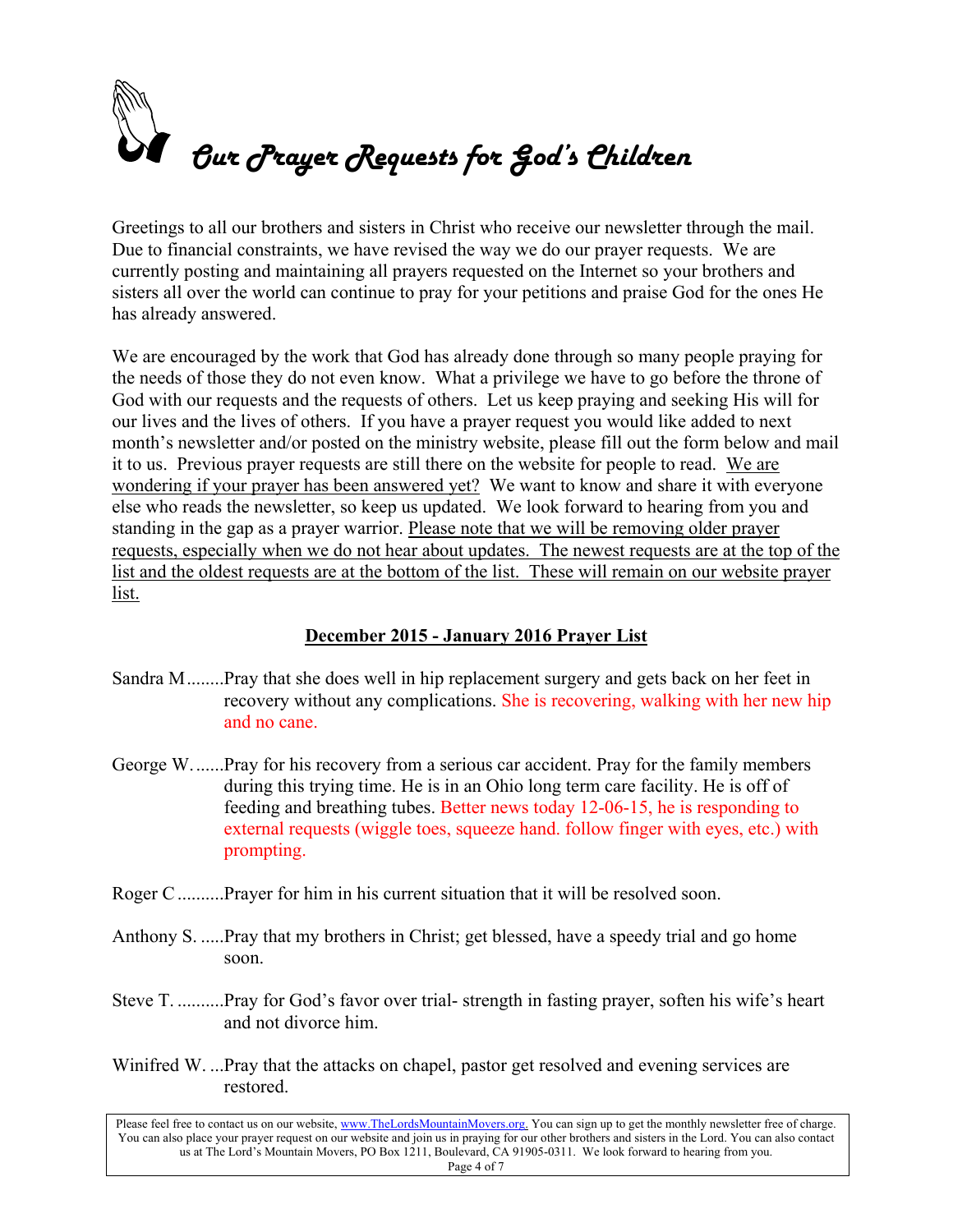

Greetings to all our brothers and sisters in Christ who receive our newsletter through the mail. Due to financial constraints, we have revised the way we do our prayer requests. We are currently posting and maintaining all prayers requested on the Internet so your brothers and sisters all over the world can continue to pray for your petitions and praise God for the ones He has already answered.

We are encouraged by the work that God has already done through so many people praying for the needs of those they do not even know. What a privilege we have to go before the throne of God with our requests and the requests of others. Let us keep praying and seeking His will for our lives and the lives of others. If you have a prayer request you would like added to next month's newsletter and/or posted on the ministry website, please fill out the form below and mail it to us. Previous prayer requests are still there on the website for people to read. We are wondering if your prayer has been answered yet? We want to know and share it with everyone else who reads the newsletter, so keep us updated. We look forward to hearing from you and standing in the gap as a prayer warrior. Please note that we will be removing older prayer requests, especially when we do not hear about updates. The newest requests are at the top of the list and the oldest requests are at the bottom of the list. These will remain on our website prayer list.

#### **December 2015 - January 2016 Prayer List**

- Sandra M ........Pray that she does well in hip replacement surgery and gets back on her feet in recovery without any complications. She is recovering, walking with her new hip and no cane.
- George W. ......Pray for his recovery from a serious car accident. Pray for the family members during this trying time. He is in an Ohio long term care facility. He is off of feeding and breathing tubes. Better news today 12-06-15, he is responding to external requests (wiggle toes, squeeze hand. follow finger with eyes, etc.) with prompting.
- Roger C ..........Prayer for him in his current situation that it will be resolved soon.
- Anthony S. .....Pray that my brothers in Christ; get blessed, have a speedy trial and go home soon.
- Steve T. ..........Pray for God's favor over trial- strength in fasting prayer, soften his wife's heart and not divorce him.
- Winifred W. ...Pray that the attacks on chapel, pastor get resolved and evening services are restored.

Please feel free to contact us on our website, www.TheLordsMountainMovers.org. You can sign up to get the monthly newsletter free of charge. You can also place your prayer request on our website and join us in praying for our other brothers and sisters in the Lord. You can also contact us at The Lord's Mountain Movers, PO Box 1211, Boulevard, CA 91905-0311. We look forward to hearing from you. Page 4 of 7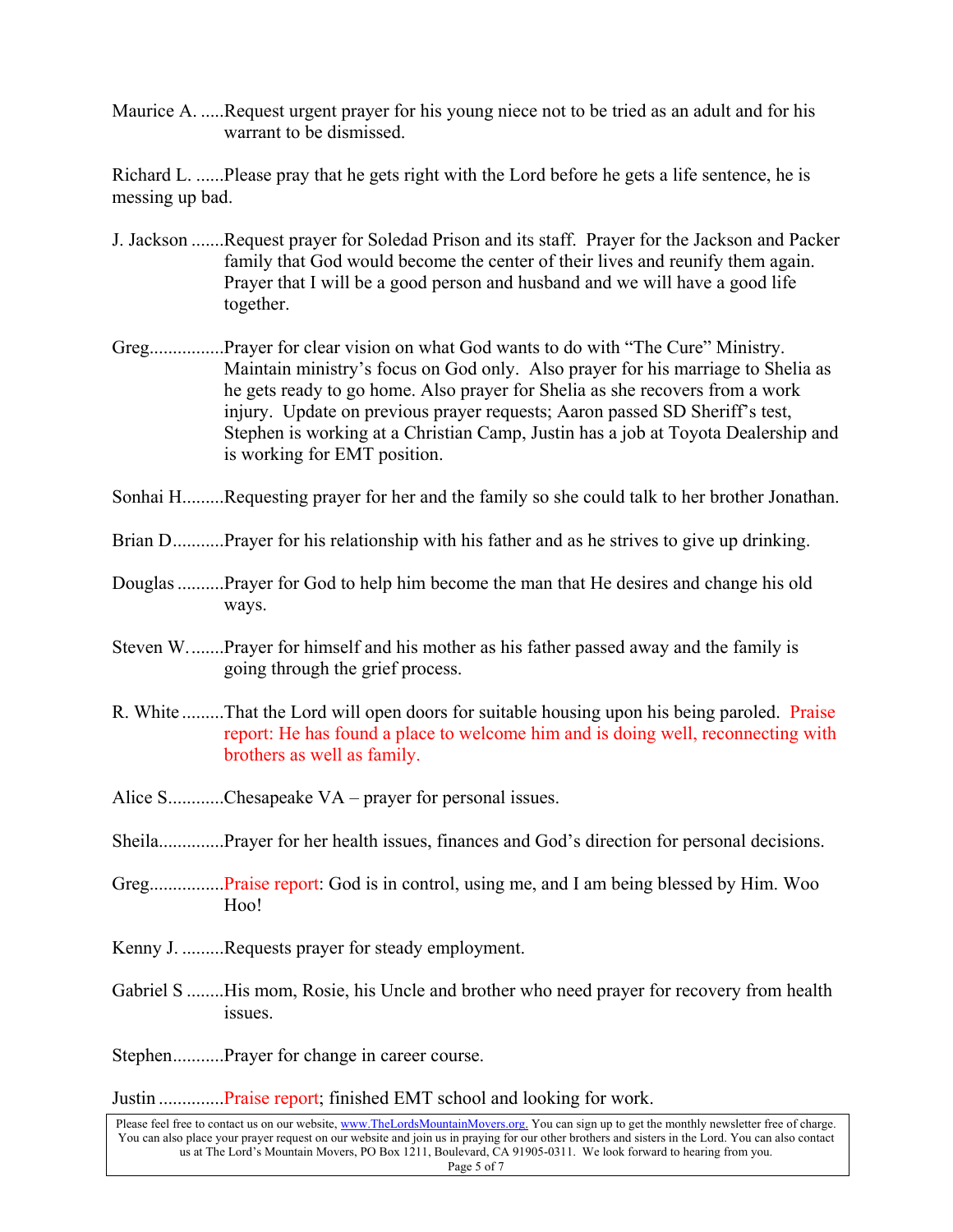Maurice A. .....Request urgent prayer for his young niece not to be tried as an adult and for his warrant to be dismissed.

Richard L. ......Please pray that he gets right with the Lord before he gets a life sentence, he is messing up bad.

- J. Jackson .......Request prayer for Soledad Prison and its staff. Prayer for the Jackson and Packer family that God would become the center of their lives and reunify them again. Prayer that I will be a good person and husband and we will have a good life together.
- Greg................Prayer for clear vision on what God wants to do with "The Cure" Ministry. Maintain ministry's focus on God only. Also prayer for his marriage to Shelia as he gets ready to go home. Also prayer for Shelia as she recovers from a work injury. Update on previous prayer requests; Aaron passed SD Sheriff's test, Stephen is working at a Christian Camp, Justin has a job at Toyota Dealership and is working for EMT position.
- Sonhai H.........Requesting prayer for her and the family so she could talk to her brother Jonathan.
- Brian D...........Prayer for his relationship with his father and as he strives to give up drinking.
- Douglas ..........Prayer for God to help him become the man that He desires and change his old ways.
- Steven W. .......Prayer for himself and his mother as his father passed away and the family is going through the grief process.
- R. White .........That the Lord will open doors for suitable housing upon his being paroled. Praise report: He has found a place to welcome him and is doing well, reconnecting with brothers as well as family.
- Alice S............Chesapeake  $VA$  prayer for personal issues.
- Sheila..............Prayer for her health issues, finances and God's direction for personal decisions.
- Greg.................Praise report: God is in control, using me, and I am being blessed by Him. Woo Hoo!
- Kenny J. .........Requests prayer for steady employment.
- Gabriel S ........His mom, Rosie, his Uncle and brother who need prayer for recovery from health issues.

Stephen...........Prayer for change in career course.

Justin ..............Praise report; finished EMT school and looking for work.

Please feel free to contact us on our website, www.TheLordsMountainMovers.org. You can sign up to get the monthly newsletter free of charge. You can also place your prayer request on our website and join us in praying for our other brothers and sisters in the Lord. You can also contact us at The Lord's Mountain Movers, PO Box 1211, Boulevard, CA 91905-0311. We look forward to hearing from you. Page 5 of 7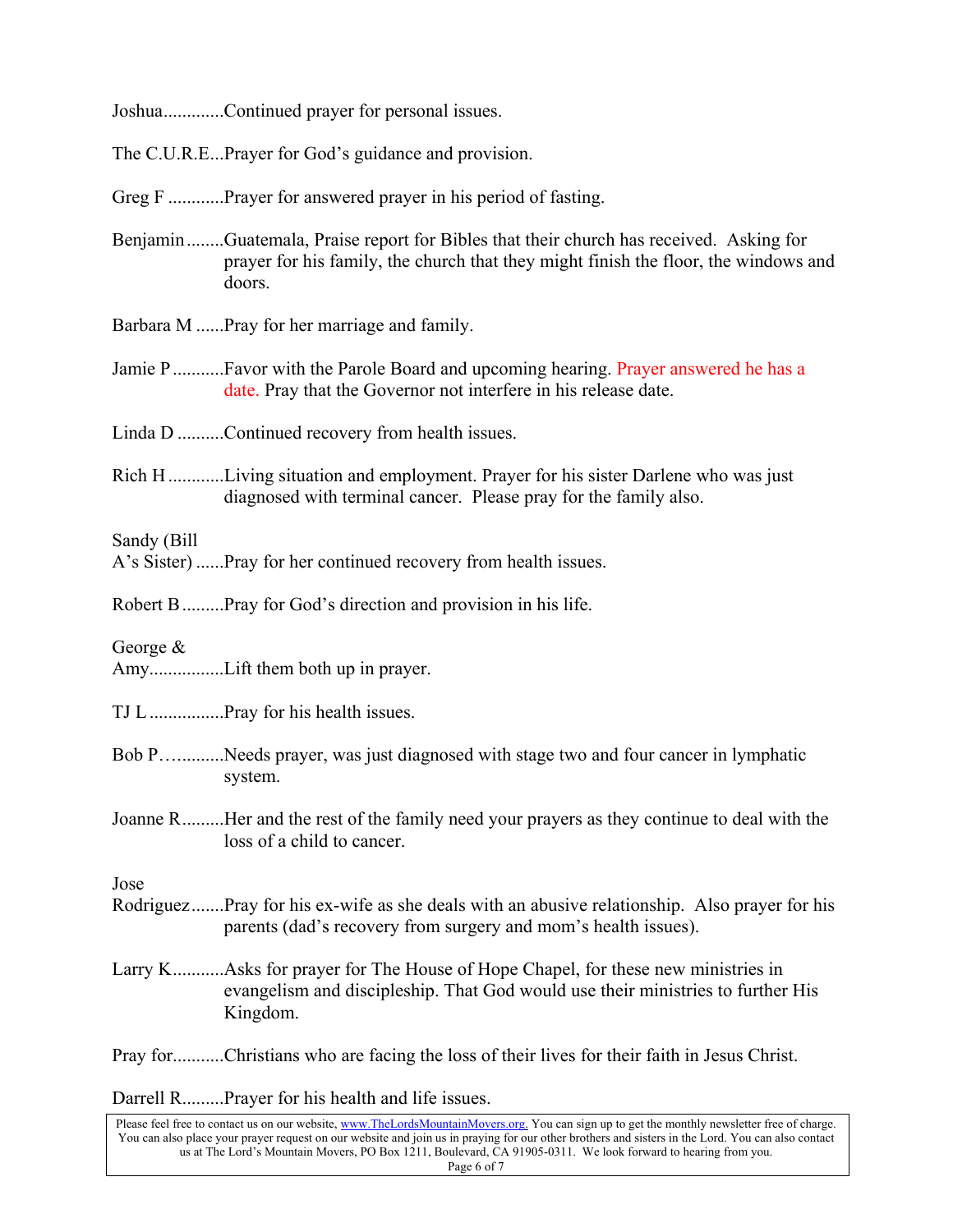Joshua.............Continued prayer for personal issues.

The C.U.R.E...Prayer for God's guidance and provision.

Greg F .............Prayer for answered prayer in his period of fasting.

- Benjamin ........Guatemala, Praise report for Bibles that their church has received. Asking for prayer for his family, the church that they might finish the floor, the windows and doors.
- Barbara M ......Pray for her marriage and family.
- Jamie P ..............Favor with the Parole Board and upcoming hearing. Prayer answered he has a date. Pray that the Governor not interfere in his release date.

Linda D ..........Continued recovery from health issues.

Rich H ............Living situation and employment. Prayer for his sister Darlene who was just diagnosed with terminal cancer. Please pray for the family also.

Sandy (Bill

A's Sister) ......Pray for her continued recovery from health issues.

Robert B .........Pray for God's direction and provision in his life.

George &

Amy................Lift them both up in prayer.

TJ L ................Pray for his health issues.

- Bob P…. .........Needs prayer, was just diagnosed with stage two and four cancer in lymphatic system.
- Joanne R .........Her and the rest of the family need your prayers as they continue to deal with the loss of a child to cancer.

Jose

- Rodriguez .......Pray for his ex-wife as she deals with an abusive relationship. Also prayer for his parents (dad's recovery from surgery and mom's health issues).
- Larry K............Asks for prayer for The House of Hope Chapel, for these new ministries in evangelism and discipleship. That God would use their ministries to further His Kingdom.

Pray for...........Christians who are facing the loss of their lives for their faith in Jesus Christ.

Darrell R.........Prayer for his health and life issues.

Please feel free to contact us on our website, www.TheLordsMountainMovers.org. You can sign up to get the monthly newsletter free of charge. You can also place your prayer request on our website and join us in praying for our other brothers and sisters in the Lord. You can also contact us at The Lord's Mountain Movers, PO Box 1211, Boulevard, CA 91905-0311. We look forward to hearing from you. Page 6 of 7